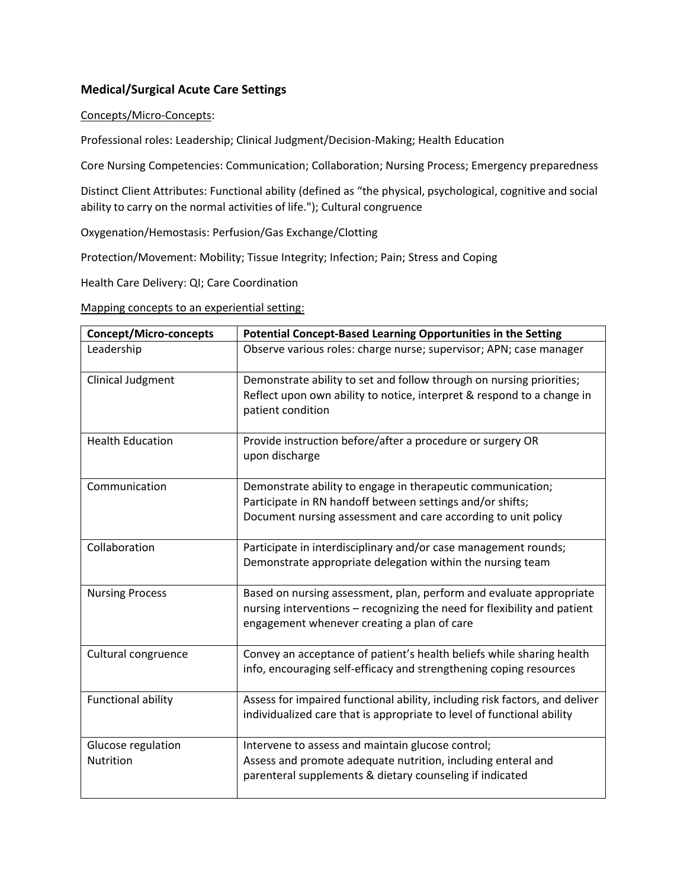## **Medical/Surgical Acute Care Settings**

## Concepts/Micro-Concepts:

Professional roles: Leadership; Clinical Judgment/Decision-Making; Health Education

Core Nursing Competencies: Communication; Collaboration; Nursing Process; Emergency preparedness

Distinct Client Attributes: Functional ability (defined as "the physical, psychological, cognitive and social ability to carry on the normal activities of life."); Cultural congruence

Oxygenation/Hemostasis: Perfusion/Gas Exchange/Clotting

Protection/Movement: Mobility; Tissue Integrity; Infection; Pain; Stress and Coping

Health Care Delivery: QI; Care Coordination

Mapping concepts to an experiential setting:

| <b>Concept/Micro-concepts</b> | Potential Concept-Based Learning Opportunities in the Setting                                                                                         |
|-------------------------------|-------------------------------------------------------------------------------------------------------------------------------------------------------|
| Leadership                    | Observe various roles: charge nurse; supervisor; APN; case manager                                                                                    |
| Clinical Judgment             | Demonstrate ability to set and follow through on nursing priorities;<br>Reflect upon own ability to notice, interpret & respond to a change in        |
|                               | patient condition                                                                                                                                     |
| <b>Health Education</b>       | Provide instruction before/after a procedure or surgery OR<br>upon discharge                                                                          |
| Communication                 | Demonstrate ability to engage in therapeutic communication;                                                                                           |
|                               | Participate in RN handoff between settings and/or shifts;<br>Document nursing assessment and care according to unit policy                            |
| Collaboration                 | Participate in interdisciplinary and/or case management rounds;                                                                                       |
|                               | Demonstrate appropriate delegation within the nursing team                                                                                            |
| <b>Nursing Process</b>        | Based on nursing assessment, plan, perform and evaluate appropriate                                                                                   |
|                               | nursing interventions – recognizing the need for flexibility and patient<br>engagement whenever creating a plan of care                               |
| Cultural congruence           | Convey an acceptance of patient's health beliefs while sharing health                                                                                 |
|                               | info, encouraging self-efficacy and strengthening coping resources                                                                                    |
| <b>Functional ability</b>     | Assess for impaired functional ability, including risk factors, and deliver<br>individualized care that is appropriate to level of functional ability |
|                               |                                                                                                                                                       |
| Glucose regulation            | Intervene to assess and maintain glucose control;                                                                                                     |
| Nutrition                     | Assess and promote adequate nutrition, including enteral and                                                                                          |
|                               | parenteral supplements & dietary counseling if indicated                                                                                              |